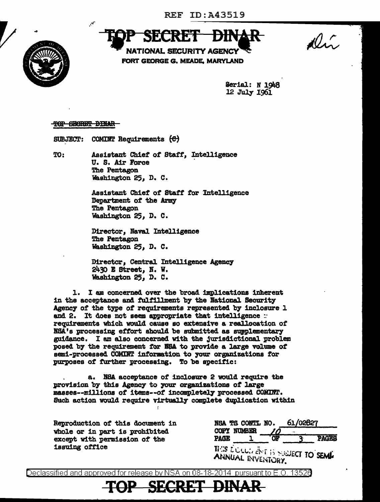

 $10.7$ 

**NATIONAL SECURITY AGENCY** FORT GEORGE G. MEADE. MARYLAND

> Serial: N 1948 12 July 1961

TOP SECRET DINAR

**SUBJECT:** COMINT Requirements  $\Theta$ 

TO:

Assistant Chief of Staff, Intelligence U. S. Air Force The Pentagon Washington 25, D. C.

Assistant Chief of Staff for Intelligence Department of the Army The Pentagon Washington 25, D. C.

Director, Naval Intelligence The Pentagon Washington 25, D. C.

Director, Central Intelligence Agency 2430 E Street, N. W. Washington 25, D. C.

1. I am concerned over the broad implications inherent in the acceptance and fulfillment by the National Security Agency of the type of requirements represented by inclosure 1 and 2. It does not seem appropriate that intelligence : requirements which would cause so extensive a reallocation of NSA's processing effort should be submitted as supplementary guidance. I am also concerned with the jurisdictional problem posed by the requirement for NSA to provide a large volume of semi-processed COMINT information to your organizations for purposes of further processing. To be specific:

NSA acceptance of inclosure 2 would require the a. provision by this Agency to your organizations of large masses--millions of items--of incompletely processed COMINT. Such action would require virtually complete duplication within

Reproduction of this document in whole or in part is prohibited except with permission of the issuing office

|             | NSA TS CONTL NO.                                        |    | 61/02827 |              |
|-------------|---------------------------------------------------------|----|----------|--------------|
|             | <b>COPY NUMBER</b>                                      | 10 |          |              |
| <b>PAGE</b> |                                                         | or |          | <b>PAGES</b> |
|             | THIS EQUULITIES IS SUBJECT TO SEMP<br>ANNUAL INVENTORY. |    |          |              |

Declassified and approved for release by NSA on 08-18-2014  $\,$  pursuant to E.O. 1352 $0$ 

SE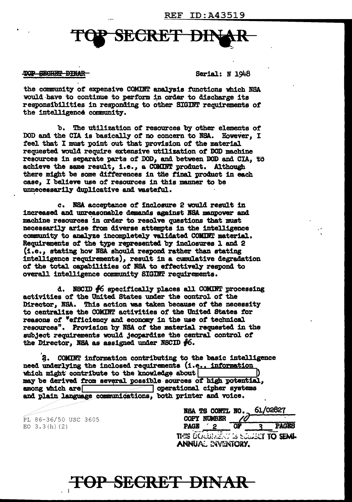## **SECRET**

## TOP SECRET DINAR

Serial: N 1948

the community of expensive COMINT analysis functions which NSA would have to continue to perform in order to discharge its responsibilities in responding to other SIGDT requirements of' the intelligence community.

b. The utilization of resources by other elements of DOD and the CIA is basically of no concern to NSA. However, I feel that I must point out that provision of the material requested would require extensive utilization of DOD machine resources in separate parts of DOD, and between DOD and CIA, to achieve the same result, i.e., a COMINT product. Although there might be some differences in the final product in each case, I believe use of resources in this manner to be unnecessarily duplicative and wasteful.

c. NSA acceptance of inclosure 2 would result in increased and unreasonable demands against NSA manpower and machine resources in order to resolve questions that must necessarily arise from diverse attempts in the intelligence community to analyze incompletely validated COMINT material. Requirements of the type represented by inclosures 1 and 2  $(i.e.,$  stating how NSA should respond rather than stating intelligence requirements), result in a cumulative degradation of the total capabilities of NSA to effectively respond to overall intelligence community SIGINT requirements.

d. NSCID #6 specifically places all COMINT processing activities of the United States under the control of the Director, BSA. This action was taken because of the necessity to centralize the COMINT activities of the United states for reasons of "efficiency and economy in the use of technical resources". Provision by NSA of the material requested in the subject requirements would jeopardize the central control of the Director, NSA as assigned under NSCID  $#6$ .

'3. COMDT information contributing to the basic intel.11gence need underlying the inclosed requirements (i.e., information which might contribute to the knowledge about may be derived from several possible sources of high potential, among which are  $\sim$  operational cipher systems **quom** operational cipher systems and plain language communications, both printer and voice.

PL 86-36/50 USC 3605 EO  $3.3(h)$  (2)

|             | NSA TS CONTL NO.   |  | 61/02827                           |
|-------------|--------------------|--|------------------------------------|
|             | <b>COPY NUMBER</b> |  |                                    |
| <b>PAGE</b> |                    |  | <b>PAGES</b>                       |
|             | ANNUAL EVENTORY.   |  | THIS DOUBLE IT IS SUBJECT TO SEMI- |

## P SECRET DINAR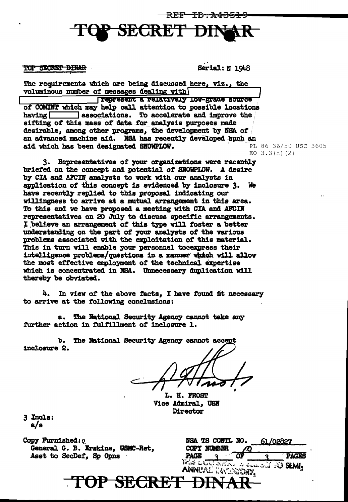



**TOP SECRET DINAR** 

Serial: N 1948

The requirements which are being discussed here, viz., the voluminous number of messages dealing with

Tepresent a relatively low-grade source of COMINT which may help call attention to possible locations associations. To accelerate and improve the  $h$ aving  $\Box$ sifting of this mass of data for analysis purposes made desirable, among other programs, the development by NSA of an advanced machine aid. NSA has recently developed such an aid which has been designated SNOWPLOW.

Representatives of your organizations were recently  $3.$ briefed on the concept and potential of SNOWPLOW. A desire by CIA and AFCIN analysts to work with our analysts in application of this concept is evidenced by inclosure 3. **We** have recently replied to this proposal indicating our willingness to arrive at a mutual arrangement in this area. To this end we have proposed a meeting with CIA and AFCIN representatives on 20 July to discuss specific arrangements. I believe an arrangement of this type will foster a better understanding on the part of your analysts of the various problems associated with the exploitation of this material. This in turn will enable your personnel tocexpress their intelligence problems/questions in a manner which will allow the most effective employment of the technical expertise which is concentrated in NSA. Unnecessary duplication will thereby be obviated.

4. In view of the above facts, I have found it necessary to arrive at the following conclusions:

The National Security Agency cannot take any **8.** further action in fulfillment of inclosure 1.

ъ. The National Security Agency cannot accept inclosure 2.

L. H. FROST Vice Admiral. USN Director

TOP SECRET DINAR

3 Incls:  $a/s$ 

Copy Furnished: c General G. B. Erskine, USMC-Ret, Asst to SecDef, Sp Opns

|                                                 | NSA TS CONTL NO. | 61/02827 |              |
|-------------------------------------------------|------------------|----------|--------------|
| <b>COPY NUMBER</b>                              |                  |          |              |
| <b>PAGE</b>                                     |                  |          | <b>PAGES</b> |
| Who determines could be SEM!<br>ANNUAL DACATION |                  |          |              |

PL 86-36/50 USC 3605 EO  $3.3(h)(2)$